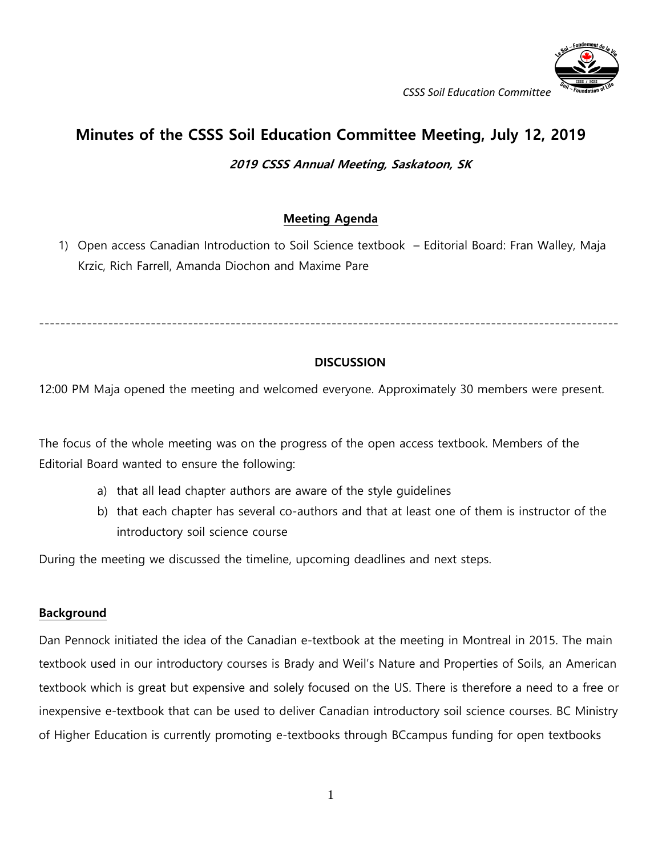

*CSSS Soil Education Committee*

# **Minutes of the CSSS Soil Education Committee Meeting, July 12, 2019**

### **2019 CSSS Annual Meeting, Saskatoon, SK**

## **Meeting Agenda**

1) Open access Canadian Introduction to Soil Science textbook – Editorial Board: Fran Walley, Maja Krzic, Rich Farrell, Amanda Diochon and Maxime Pare

-------------------------------------------------------------------------------------------------------------

### **DISCUSSION**

12:00 PM Maja opened the meeting and welcomed everyone. Approximately 30 members were present.

The focus of the whole meeting was on the progress of the open access textbook. Members of the Editorial Board wanted to ensure the following:

- a) that all lead chapter authors are aware of the style guidelines
- b) that each chapter has several co-authors and that at least one of them is instructor of the introductory soil science course

During the meeting we discussed the timeline, upcoming deadlines and next steps.

#### **Background**

Dan Pennock initiated the idea of the Canadian e-textbook at the meeting in Montreal in 2015. The main textbook used in our introductory courses is Brady and Weil's Nature and Properties of Soils, an American textbook which is great but expensive and solely focused on the US. There is therefore a need to a free or inexpensive e-textbook that can be used to deliver Canadian introductory soil science courses. BC Ministry of Higher Education is currently promoting e-textbooks through BCcampus funding for open textbooks